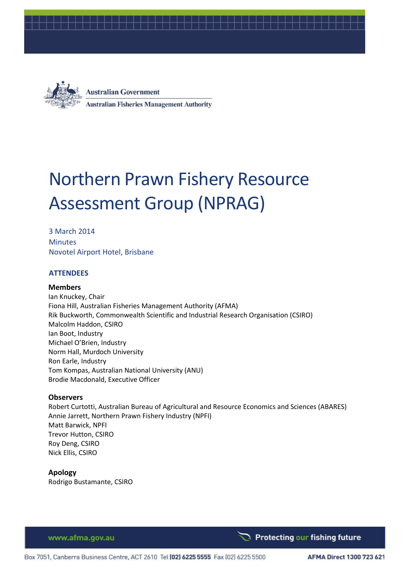



**Australian Government Australian Fisheries Management Authority** 

# Northern Prawn Fishery Resource Assessment Group (NPRAG)

3 March 2014 **Minutes** Novotel Airport Hotel, Brisbane

## **ATTENDEES**

#### **Members**

Ian Knuckey, Chair Fiona Hill, Australian Fisheries Management Authority (AFMA) Rik Buckworth, Commonwealth Scientific and Industrial Research Organisation (CSIRO) Malcolm Haddon, CSIRO Ian Boot, Industry Michael O'Brien, Industry Norm Hall, Murdoch University Ron Earle, Industry Tom Kompas, Australian National University (ANU) Brodie Macdonald, Executive Officer

#### **Observers**

Robert Curtotti, Australian Bureau of Agricultural and Resource Economics and Sciences (ABARES) Annie Jarrett, Northern Prawn Fishery Industry (NPFI) Matt Barwick, NPFI Trevor Hutton, CSIRO Roy Deng, CSIRO Nick Ellis, CSIRO

**Apology** Rodrigo Bustamante, CSIRO

www.afma.gov.au

Protecting our fishing future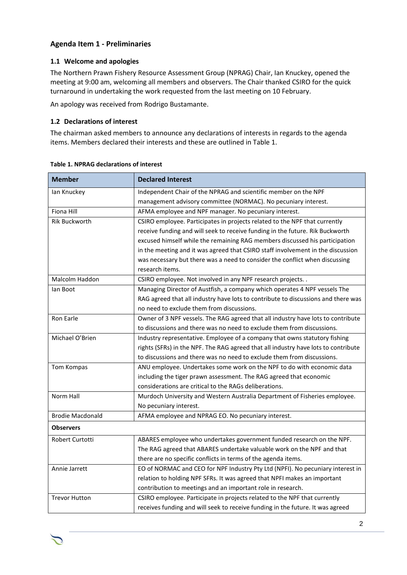## **Agenda Item 1 - Preliminaries**

## **1.1 Welcome and apologies**

The Northern Prawn Fishery Resource Assessment Group (NPRAG) Chair, Ian Knuckey, opened the meeting at 9:00 am, welcoming all members and observers. The Chair thanked CSIRO for the quick turnaround in undertaking the work requested from the last meeting on 10 February.

An apology was received from Rodrigo Bustamante.

#### **1.2 Declarations of interest**

The chairman asked members to announce any declarations of interests in regards to the agenda items. Members declared their interests and these are outlined in [Table 1.](#page-1-0)

| <b>Member</b>           | <b>Declared Interest</b>                                                           |  |  |  |
|-------------------------|------------------------------------------------------------------------------------|--|--|--|
| lan Knuckey             | Independent Chair of the NPRAG and scientific member on the NPF                    |  |  |  |
|                         | management advisory committee (NORMAC). No pecuniary interest.                     |  |  |  |
| <b>Fiona Hill</b>       | AFMA employee and NPF manager. No pecuniary interest.                              |  |  |  |
| <b>Rik Buckworth</b>    | CSIRO employee. Participates in projects related to the NPF that currently         |  |  |  |
|                         | receive funding and will seek to receive funding in the future. Rik Buckworth      |  |  |  |
|                         | excused himself while the remaining RAG members discussed his participation        |  |  |  |
|                         | in the meeting and it was agreed that CSIRO staff involvement in the discussion    |  |  |  |
|                         | was necessary but there was a need to consider the conflict when discussing        |  |  |  |
|                         | research items.                                                                    |  |  |  |
| Malcolm Haddon          | CSIRO employee. Not involved in any NPF research projects                          |  |  |  |
| lan Boot                | Managing Director of Austfish, a company which operates 4 NPF vessels The          |  |  |  |
|                         | RAG agreed that all industry have lots to contribute to discussions and there was  |  |  |  |
|                         | no need to exclude them from discussions.                                          |  |  |  |
| Ron Earle               | Owner of 3 NPF vessels. The RAG agreed that all industry have lots to contribute   |  |  |  |
|                         | to discussions and there was no need to exclude them from discussions.             |  |  |  |
| Michael O'Brien         | Industry representative. Employee of a company that owns statutory fishing         |  |  |  |
|                         | rights (SFRs) in the NPF. The RAG agreed that all industry have lots to contribute |  |  |  |
|                         | to discussions and there was no need to exclude them from discussions.             |  |  |  |
| Tom Kompas              | ANU employee. Undertakes some work on the NPF to do with economic data             |  |  |  |
|                         | including the tiger prawn assessment. The RAG agreed that economic                 |  |  |  |
|                         | considerations are critical to the RAGs deliberations.                             |  |  |  |
| Norm Hall               | Murdoch University and Western Australia Department of Fisheries employee.         |  |  |  |
|                         | No pecuniary interest.                                                             |  |  |  |
| <b>Brodie Macdonald</b> | AFMA employee and NPRAG EO. No pecuniary interest.                                 |  |  |  |
| <b>Observers</b>        |                                                                                    |  |  |  |
| Robert Curtotti         | ABARES employee who undertakes government funded research on the NPF.              |  |  |  |
|                         | The RAG agreed that ABARES undertake valuable work on the NPF and that             |  |  |  |
|                         | there are no specific conflicts in terms of the agenda items.                      |  |  |  |
| Annie Jarrett           | EO of NORMAC and CEO for NPF Industry Pty Ltd (NPFI). No pecuniary interest in     |  |  |  |
|                         | relation to holding NPF SFRs. It was agreed that NPFI makes an important           |  |  |  |
|                         | contribution to meetings and an important role in research.                        |  |  |  |
| <b>Trevor Hutton</b>    | CSIRO employee. Participate in projects related to the NPF that currently          |  |  |  |
|                         | receives funding and will seek to receive funding in the future. It was agreed     |  |  |  |

#### <span id="page-1-0"></span>**Table 1. NPRAG declarations of interest**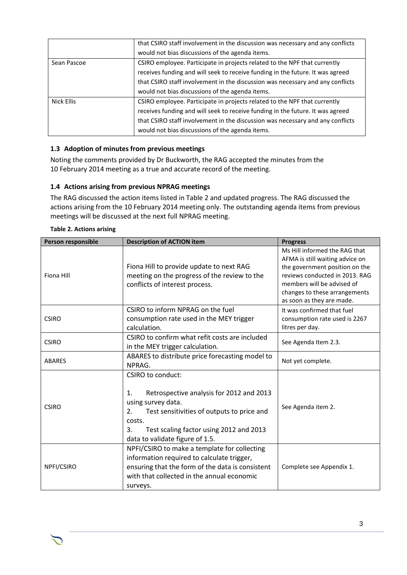|             | that CSIRO staff involvement in the discussion was necessary and any conflicts |
|-------------|--------------------------------------------------------------------------------|
|             | would not bias discussions of the agenda items.                                |
| Sean Pascoe | CSIRO employee. Participate in projects related to the NPF that currently      |
|             | receives funding and will seek to receive funding in the future. It was agreed |
|             | that CSIRO staff involvement in the discussion was necessary and any conflicts |
|             | would not bias discussions of the agenda items.                                |
| Nick Ellis  | CSIRO employee. Participate in projects related to the NPF that currently      |
|             | receives funding and will seek to receive funding in the future. It was agreed |
|             | that CSIRO staff involvement in the discussion was necessary and any conflicts |
|             | would not bias discussions of the agenda items.                                |

## **1.3 Adoption of minutes from previous meetings**

Noting the comments provided by Dr Buckworth, the RAG accepted the minutes from the 10 February 2014 meeting as a true and accurate record of the meeting.

## **1.4 Actions arising from previous NPRAG meetings**

The RAG discussed the action items listed i[n Table 2](#page-2-0) and updated progress. The RAG discussed the actions arising from the 10 February 2014 meeting only. The outstanding agenda items from previous meetings will be discussed at the next full NPRAG meeting.

| Person responsible | <b>Description of ACTION item</b>                                                                                                                                                                                                                  | <b>Progress</b>                                                                                                                                                                                                                  |
|--------------------|----------------------------------------------------------------------------------------------------------------------------------------------------------------------------------------------------------------------------------------------------|----------------------------------------------------------------------------------------------------------------------------------------------------------------------------------------------------------------------------------|
| Fiona Hill         | Fiona Hill to provide update to next RAG<br>meeting on the progress of the review to the<br>conflicts of interest process.                                                                                                                         | Ms Hill informed the RAG that<br>AFMA is still waiting advice on<br>the government position on the<br>reviews conducted in 2013. RAG<br>members will be advised of<br>changes to these arrangements<br>as soon as they are made. |
| <b>CSIRO</b>       | CSIRO to inform NPRAG on the fuel<br>consumption rate used in the MEY trigger<br>calculation.                                                                                                                                                      | It was confirmed that fuel<br>consumption rate used is 2267<br>litres per day.                                                                                                                                                   |
| <b>CSIRO</b>       | CSIRO to confirm what refit costs are included<br>in the MEY trigger calculation.                                                                                                                                                                  | See Agenda Item 2.3.                                                                                                                                                                                                             |
| <b>ABARES</b>      | ABARES to distribute price forecasting model to<br>NPRAG.                                                                                                                                                                                          | Not yet complete.                                                                                                                                                                                                                |
| <b>CSIRO</b>       | <b>CSIRO to conduct:</b><br>Retrospective analysis for 2012 and 2013<br>1.<br>using survey data.<br>Test sensitivities of outputs to price and<br>2.<br>costs.<br>Test scaling factor using 2012 and 2013<br>3.<br>data to validate figure of 1.5. | See Agenda item 2.                                                                                                                                                                                                               |
| NPFI/CSIRO         | NPFI/CSIRO to make a template for collecting<br>information required to calculate trigger,<br>ensuring that the form of the data is consistent<br>with that collected in the annual economic<br>surveys.                                           | Complete see Appendix 1.                                                                                                                                                                                                         |

#### <span id="page-2-0"></span>**Table 2. Actions arising**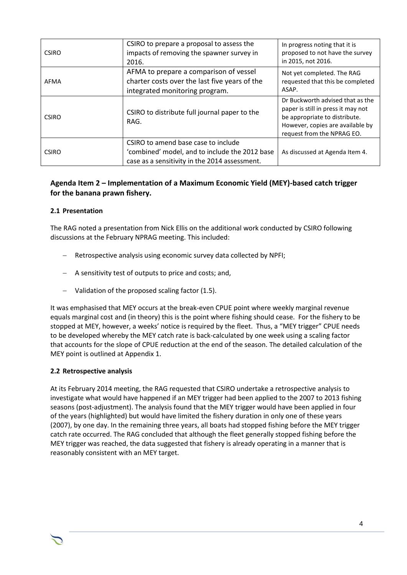| <b>CSIRO</b> | CSIRO to prepare a proposal to assess the<br>impacts of removing the spawner survey in<br>2016.                                        | In progress noting that it is<br>proposed to not have the survey<br>in 2015, not 2016.                                                                                    |
|--------------|----------------------------------------------------------------------------------------------------------------------------------------|---------------------------------------------------------------------------------------------------------------------------------------------------------------------------|
| AFMA         | AFMA to prepare a comparison of vessel<br>charter costs over the last five years of the<br>integrated monitoring program.              | Not yet completed. The RAG<br>requested that this be completed<br>ASAP.                                                                                                   |
| <b>CSIRO</b> | CSIRO to distribute full journal paper to the<br>RAG.                                                                                  | Dr Buckworth advised that as the<br>paper is still in press it may not<br>be appropriate to distribute.<br>However, copies are available by<br>request from the NPRAG EO. |
| <b>CSIRO</b> | CSIRO to amend base case to include<br>'combined' model, and to include the 2012 base<br>case as a sensitivity in the 2014 assessment. | As discussed at Agenda Item 4.                                                                                                                                            |

## **Agenda Item 2 – Implementation of a Maximum Economic Yield (MEY)-based catch trigger for the banana prawn fishery.**

## **2.1 Presentation**

The RAG noted a presentation from Nick Ellis on the additional work conducted by CSIRO following discussions at the February NPRAG meeting. This included:

- Retrospective analysis using economic survey data collected by NPFI;
- A sensitivity test of outputs to price and costs; and,
- Validation of the proposed scaling factor (1.5).

It was emphasised that MEY occurs at the break-even CPUE point where weekly marginal revenue equals marginal cost and (in theory) this is the point where fishing should cease. For the fishery to be stopped at MEY, however, a weeks' notice is required by the fleet. Thus, a "MEY trigger" CPUE needs to be developed whereby the MEY catch rate is back-calculated by one week using a scaling factor that accounts for the slope of CPUE reduction at the end of the season. The detailed calculation of the MEY point is outlined at Appendix 1.

## **2.2 Retrospective analysis**

At its February 2014 meeting, the RAG requested that CSIRO undertake a retrospective analysis to investigate what would have happened if an MEY trigger had been applied to the 2007 to 2013 fishing seasons (post-adjustment). The analysis found that the MEY trigger would have been applied in four of the years (highlighted) but would have limited the fishery duration in only one of these years (2007), by one day. In the remaining three years, all boats had stopped fishing before the MEY trigger catch rate occurred. The RAG concluded that although the fleet generally stopped fishing before the MEY trigger was reached, the data suggested that fishery is already operating in a manner that is reasonably consistent with an MEY target.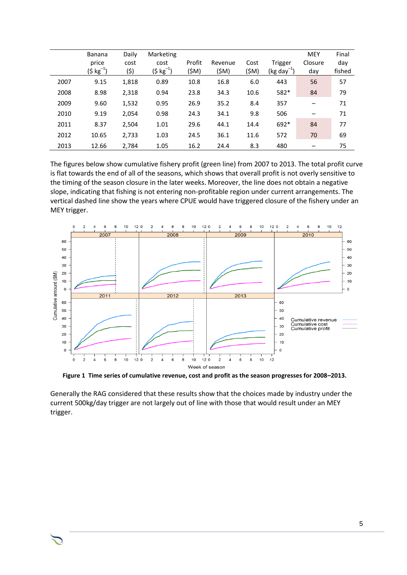|      | <b>Banana</b><br>price<br>(\$ kg $^{-1}$ ) | Daily<br>cost<br>(\$) | Marketing<br>cost<br>(\$ kg $^{-1}$ ) | Profit<br>(\$M) | Revenue<br>(SM) | Cost<br>(\$M) | Trigger<br>$(kg day^{-1})$ | <b>MEY</b><br>Closure<br>day | Final<br>day<br>fished |
|------|--------------------------------------------|-----------------------|---------------------------------------|-----------------|-----------------|---------------|----------------------------|------------------------------|------------------------|
| 2007 | 9.15                                       | 1,818                 | 0.89                                  | 10.8            | 16.8            | 6.0           | 443                        | 56                           | 57                     |
| 2008 | 8.98                                       | 2,318                 | 0.94                                  | 23.8            | 34.3            | 10.6          | 582*                       | 84                           | 79                     |
| 2009 | 9.60                                       | 1,532                 | 0.95                                  | 26.9            | 35.2            | 8.4           | 357                        | -                            | 71                     |
| 2010 | 9.19                                       | 2,054                 | 0.98                                  | 24.3            | 34.1            | 9.8           | 506                        |                              | 71                     |
| 2011 | 8.37                                       | 2,504                 | 1.01                                  | 29.6            | 44.1            | 14.4          | 692*                       | 84                           | 77                     |
| 2012 | 10.65                                      | 2,733                 | 1.03                                  | 24.5            | 36.1            | 11.6          | 572                        | 70                           | 69                     |
| 2013 | 12.66                                      | 2,784                 | 1.05                                  | 16.2            | 24.4            | 8.3           | 480                        |                              | 75                     |

The figures below show cumulative fishery profit (green line) from 2007 to 2013. The total profit curve is flat towards the end of all of the seasons, which shows that overall profit is not overly sensitive to the timing of the season closure in the later weeks. Moreover, the line does not obtain a negative slope, indicating that fishing is not entering non-profitable region under current arrangements. The vertical dashed line show the years where CPUE would have triggered closure of the fishery under an MEY trigger.



<span id="page-4-0"></span>**Figure 1 Time series of cumulative revenue, cost and profit as the season progresses for 2008–2013.**

Generally the RAG considered that these results show that the choices made by industry under the current 500kg/day trigger are not largely out of line with those that would result under an MEY trigger.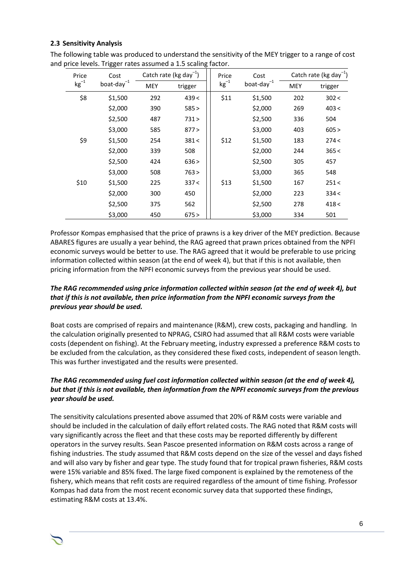#### **2.3 Sensitivity Analysis**

| Price<br>Cost |                  | Catch rate (kg day <sup>-1</sup> ) |         | Price     | Cost             |     | Catch rate (kg day <sup>-1</sup> ) |  |  |
|---------------|------------------|------------------------------------|---------|-----------|------------------|-----|------------------------------------|--|--|
| $kg^{-1}$     | boat-day $^{-1}$ | MEY                                | trigger | $kg^{-1}$ | boat-day $^{-1}$ | MEY | trigger                            |  |  |
| \$8           | \$1,500          | 292                                | 439<    | \$11      | \$1,500          | 202 | 302 <                              |  |  |
|               | \$2,000          | 390                                | 585 >   |           | \$2,000          | 269 | 403 <                              |  |  |
|               | \$2,500          | 487                                | 731 >   |           | \$2,500          | 336 | 504                                |  |  |
|               | \$3,000          | 585                                | 877 >   |           | \$3,000          | 403 | 605 >                              |  |  |
| \$9           | \$1,500          | 254                                | 381<    | \$12      | \$1,500          | 183 | 274<                               |  |  |
|               | \$2,000          | 339                                | 508     |           | \$2,000          | 244 | 365 <                              |  |  |
|               | \$2,500          | 424                                | 636 >   |           | \$2,500          | 305 | 457                                |  |  |
|               | \$3,000          | 508                                | 763 >   |           | \$3,000          | 365 | 548                                |  |  |
| \$10          | \$1,500          | 225                                | 337 <   | \$13      | \$1,500          | 167 | 251<                               |  |  |
|               | \$2,000          | 300                                | 450     |           | \$2,000          | 223 | 334 <                              |  |  |
|               | \$2,500          | 375                                | 562     |           | \$2,500          | 278 | 418 <                              |  |  |
|               | \$3,000          | 450                                | 675 >   |           | \$3,000          | 334 | 501                                |  |  |

The following table was produced to understand the sensitivity of the MEY trigger to a range of cost and price levels. Trigger rates assumed a 1.5 scaling factor.

Professor Kompas emphasised that the price of prawns is a key driver of the MEY prediction. Because ABARES figures are usually a year behind, the RAG agreed that prawn prices obtained from the NPFI economic surveys would be better to use. The RAG agreed that it would be preferable to use pricing information collected within season (at the end of week 4), but that if this is not available, then pricing information from the NPFI economic surveys from the previous year should be used.

## *The RAG recommended using price information collected within season (at the end of week 4), but that if this is not available, then price information from the NPFI economic surveys from the previous year should be used.*

Boat costs are comprised of repairs and maintenance (R&M), crew costs, packaging and handling. In the calculation originally presented to NPRAG, CSIRO had assumed that all R&M costs were variable costs (dependent on fishing). At the February meeting, industry expressed a preference R&M costs to be excluded from the calculation, as they considered these fixed costs, independent of season length. This was further investigated and the results were presented.

## *The RAG recommended using fuel cost information collected within season (at the end of week 4), but that if this is not available, then information from the NPFI economic surveys from the previous year should be used.*

The sensitivity calculations presented above assumed that 20% of R&M costs were variable and should be included in the calculation of daily effort related costs. The RAG noted that R&M costs will vary significantly across the fleet and that these costs may be reported differently by different operators in the survey results. Sean Pascoe presented information on R&M costs across a range of fishing industries. The study assumed that R&M costs depend on the size of the vessel and days fished and will also vary by fisher and gear type. The study found that for tropical prawn fisheries, R&M costs were 15% variable and 85% fixed. The large fixed component is explained by the remoteness of the fishery, which means that refit costs are required regardless of the amount of time fishing. Professor Kompas had data from the most recent economic survey data that supported these findings, estimating R&M costs at 13.4%.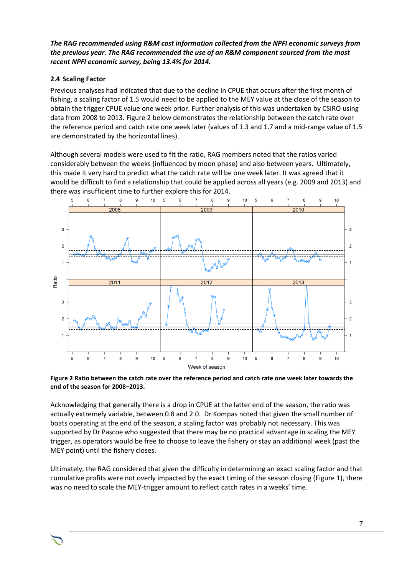## *The RAG recommended using R&M cost information collected from the NPFI economic surveys from the previous year. The RAG recommended the use of an R&M component sourced from the most recent NPFI economic survey, being 13.4% for 2014.*

## **2.4 Scaling Factor**

Previous analyses had indicated that due to the decline in CPUE that occurs after the first month of fishing, a scaling factor of 1.5 would need to be applied to the MEY value at the close of the season to obtain the trigger CPUE value one week prior. Further analysis of this was undertaken by CSIRO using data from 2008 to 2013. [Figure 2](#page-6-0) below demonstrates the relationship between the catch rate over the reference period and catch rate one week later (values of 1.3 and 1.7 and a mid-range value of 1.5 are demonstrated by the horizontal lines).

Although several models were used to fit the ratio, RAG members noted that the ratios varied considerably between the weeks (influenced by moon phase) and also between years. Ultimately, this made it very hard to predict what the catch rate will be one week later. It was agreed that it would be difficult to find a relationship that could be applied across all years (e.g. 2009 and 2013) and there was insufficient time to further explore this for 2014.



<span id="page-6-0"></span>**Figure 2 Ratio between the catch rate over the reference period and catch rate one week later towards the end of the season for 2008–2013.**

Acknowledging that generally there is a drop in CPUE at the latter end of the season, the ratio was actually extremely variable, between 0.8 and 2.0. Dr Kompas noted that given the small number of boats operating at the end of the season, a scaling factor was probably not necessary. This was supported by Dr Pascoe who suggested that there may be no practical advantage in scaling the MEY trigger, as operators would be free to choose to leave the fishery or stay an additional week (past the MEY point) until the fishery closes.

Ultimately, the RAG considered that given the difficulty in determining an exact scaling factor and that cumulative profits were not overly impacted by the exact timing of the season closing [\(Figure 1\)](#page-4-0), there was no need to scale the MEY-trigger amount to reflect catch rates in a weeks' time.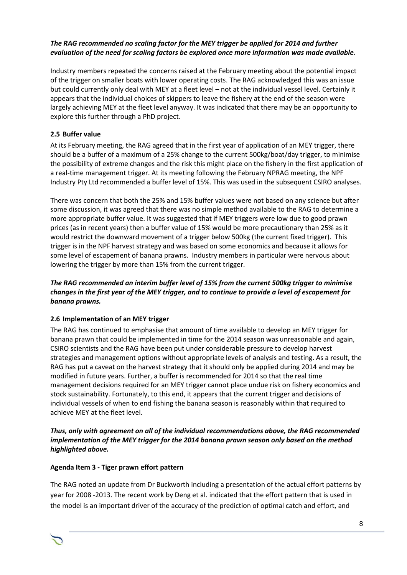## *The RAG recommended no scaling factor for the MEY trigger be applied for 2014 and further evaluation of the need for scaling factors be explored once more information was made available.*

Industry members repeated the concerns raised at the February meeting about the potential impact of the trigger on smaller boats with lower operating costs. The RAG acknowledged this was an issue but could currently only deal with MEY at a fleet level – not at the individual vessel level. Certainly it appears that the individual choices of skippers to leave the fishery at the end of the season were largely achieving MEY at the fleet level anyway. It was indicated that there may be an opportunity to explore this further through a PhD project.

## **2.5 Buffer value**

At its February meeting, the RAG agreed that in the first year of application of an MEY trigger, there should be a buffer of a maximum of a 25% change to the current 500kg/boat/day trigger, to minimise the possibility of extreme changes and the risk this might place on the fishery in the first application of a real-time management trigger. At its meeting following the February NPRAG meeting, the NPF Industry Pty Ltd recommended a buffer level of 15%. This was used in the subsequent CSIRO analyses.

There was concern that both the 25% and 15% buffer values were not based on any science but after some discussion, it was agreed that there was no simple method available to the RAG to determine a more appropriate buffer value. It was suggested that if MEY triggers were low due to good prawn prices (as in recent years) then a buffer value of 15% would be more precautionary than 25% as it would restrict the downward movement of a trigger below 500kg (the current fixed trigger). This trigger is in the NPF harvest strategy and was based on some economics and because it allows for some level of escapement of banana prawns. Industry members in particular were nervous about lowering the trigger by more than 15% from the current trigger.

## *The RAG recommended an interim buffer level of 15% from the current 500kg trigger to minimise changes in the first year of the MEY trigger, and to continue to provide a level of escapement for banana prawns.*

## **2.6 Implementation of an MEY trigger**

The RAG has continued to emphasise that amount of time available to develop an MEY trigger for banana prawn that could be implemented in time for the 2014 season was unreasonable and again, CSIRO scientists and the RAG have been put under considerable pressure to develop harvest strategies and management options without appropriate levels of analysis and testing. As a result, the RAG has put a caveat on the harvest strategy that it should only be applied during 2014 and may be modified in future years. Further, a buffer is recommended for 2014 so that the real time management decisions required for an MEY trigger cannot place undue risk on fishery economics and stock sustainability. Fortunately, to this end, it appears that the current trigger and decisions of individual vessels of when to end fishing the banana season is reasonably within that required to achieve MEY at the fleet level.

## *Thus, only with agreement on all of the individual recommendations above, the RAG recommended implementation of the MEY trigger for the 2014 banana prawn season only based on the method highlighted above.*

## **Agenda Item 3 - Tiger prawn effort pattern**

The RAG noted an update from Dr Buckworth including a presentation of the actual effort patterns by year for 2008 -2013. The recent work by Deng et al. indicated that the effort pattern that is used in the model is an important driver of the accuracy of the prediction of optimal catch and effort, and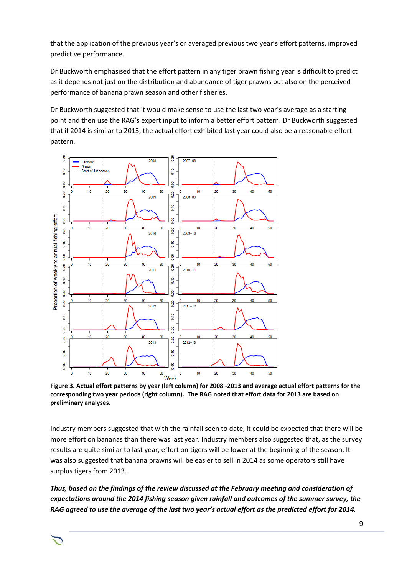that the application of the previous year's or averaged previous two year's effort patterns, improved predictive performance.

Dr Buckworth emphasised that the effort pattern in any tiger prawn fishing year is difficult to predict as it depends not just on the distribution and abundance of tiger prawns but also on the perceived performance of banana prawn season and other fisheries.

Dr Buckworth suggested that it would make sense to use the last two year's average as a starting point and then use the RAG's expert input to inform a better effort pattern. Dr Buckworth suggested that if 2014 is similar to 2013, the actual effort exhibited last year could also be a reasonable effort pattern.



**Figure 3. Actual effort patterns by year (left column) for 2008 -2013 and average actual effort patterns for the corresponding two year periods (right column). The RAG noted that effort data for 2013 are based on preliminary analyses.**

Industry members suggested that with the rainfall seen to date, it could be expected that there will be more effort on bananas than there was last year. Industry members also suggested that, as the survey results are quite similar to last year, effort on tigers will be lower at the beginning of the season. It was also suggested that banana prawns will be easier to sell in 2014 as some operators still have surplus tigers from 2013.

*Thus, based on the findings of the review discussed at the February meeting and consideration of expectations around the 2014 fishing season given rainfall and outcomes of the summer survey, the RAG agreed to use the average of the last two year's actual effort as the predicted effort for 2014.*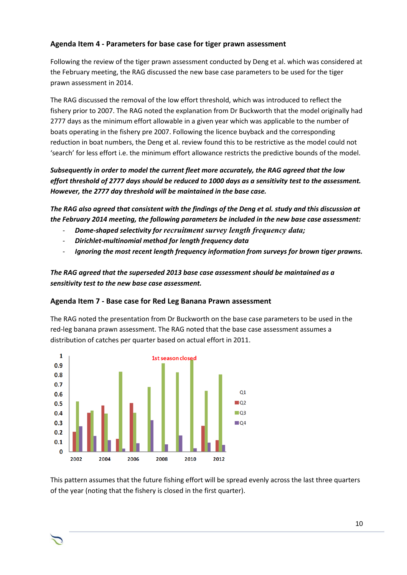## **Agenda Item 4 - Parameters for base case for tiger prawn assessment**

Following the review of the tiger prawn assessment conducted by Deng et al. which was considered at the February meeting, the RAG discussed the new base case parameters to be used for the tiger prawn assessment in 2014.

The RAG discussed the removal of the low effort threshold, which was introduced to reflect the fishery prior to 2007. The RAG noted the explanation from Dr Buckworth that the model originally had 2777 days as the minimum effort allowable in a given year which was applicable to the number of boats operating in the fishery pre 2007. Following the licence buyback and the corresponding reduction in boat numbers, the Deng et al. review found this to be restrictive as the model could not 'search' for less effort i.e. the minimum effort allowance restricts the predictive bounds of the model.

*Subsequently in order to model the current fleet more accurately, the RAG agreed that the low effort threshold of 2777 days should be reduced to 1000 days as a sensitivity test to the assessment. However, the 2777 day threshold will be maintained in the base case.*

*The RAG also agreed that consistent with the findings of the Deng et al. study and this discussion at the February 2014 meeting, the following parameters be included in the new base case assessment:*

- *Dome-shaped selectivity for recruitment survey length frequency data;*
- *Dirichlet-multinomial method for length frequency data*
- *Ignoring the most recent length frequency information from surveys for brown tiger prawns.*

*The RAG agreed that the superseded 2013 base case assessment should be maintained as a sensitivity test to the new base case assessment.* 

## **Agenda Item 7 - Base case for Red Leg Banana Prawn assessment**

The RAG noted the presentation from Dr Buckworth on the base case parameters to be used in the red-leg banana prawn assessment. The RAG noted that the base case assessment assumes a distribution of catches per quarter based on actual effort in 2011.



This pattern assumes that the future fishing effort will be spread evenly across the last three quarters of the year (noting that the fishery is closed in the first quarter).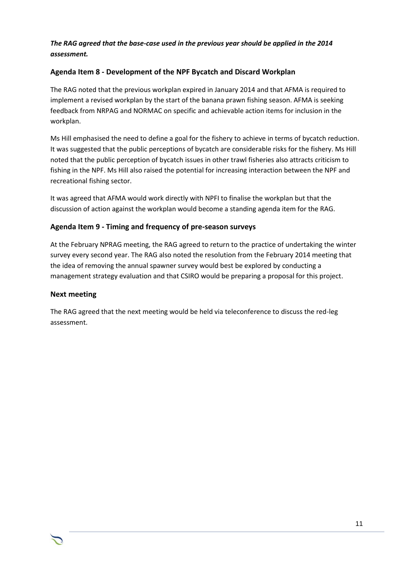## *The RAG agreed that the base-case used in the previous year should be applied in the 2014 assessment.*

## **Agenda Item 8 - Development of the NPF Bycatch and Discard Workplan**

The RAG noted that the previous workplan expired in January 2014 and that AFMA is required to implement a revised workplan by the start of the banana prawn fishing season. AFMA is seeking feedback from NRPAG and NORMAC on specific and achievable action items for inclusion in the workplan.

Ms Hill emphasised the need to define a goal for the fishery to achieve in terms of bycatch reduction. It was suggested that the public perceptions of bycatch are considerable risks for the fishery. Ms Hill noted that the public perception of bycatch issues in other trawl fisheries also attracts criticism to fishing in the NPF. Ms Hill also raised the potential for increasing interaction between the NPF and recreational fishing sector.

It was agreed that AFMA would work directly with NPFI to finalise the workplan but that the discussion of action against the workplan would become a standing agenda item for the RAG.

## **Agenda Item 9 - Timing and frequency of pre-season surveys**

At the February NPRAG meeting, the RAG agreed to return to the practice of undertaking the winter survey every second year. The RAG also noted the resolution from the February 2014 meeting that the idea of removing the annual spawner survey would best be explored by conducting a management strategy evaluation and that CSIRO would be preparing a proposal for this project.

## **Next meeting**

The RAG agreed that the next meeting would be held via teleconference to discuss the red-leg assessment.